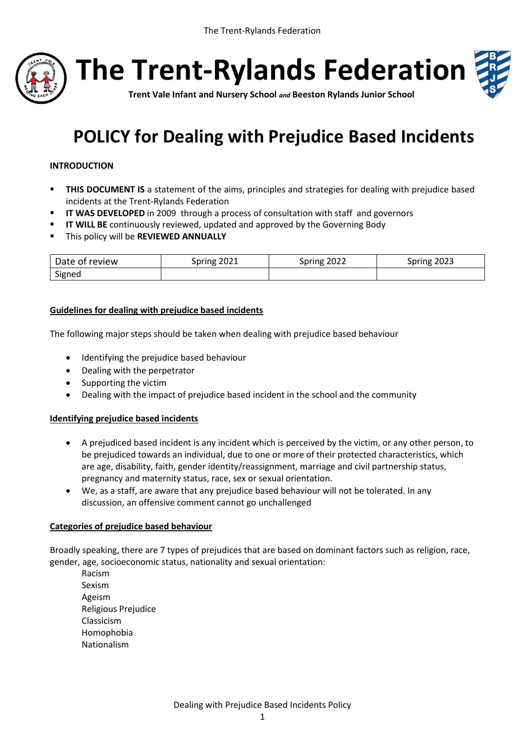

**The Trent-Rylands Federation**



**Trent Vale Infant and Nursery School** *and* **Beeston Rylands Junior School**

# **POLICY for Dealing with Prejudice Based Incidents**

## **INTRODUCTION**

- **THIS DOCUMENT IS** a statement of the aims, principles and strategies for dealing with prejudice based incidents at the Trent-Rylands Federation
- **II WAS DEVELOPED** in 2009 through a process of consultation with staff and governors
- **IT WILL BE** continuously reviewed, updated and approved by the Governing Body
- This policy will be **REVIEWED ANNUALLY**

| Date of review | $-2021$ | 2022  | 2023          |
|----------------|---------|-------|---------------|
|                | Spring  | oring | <b>Spring</b> |
| Signed         |         |       |               |

### **Guidelines for dealing with prejudice based incidents**

The following major steps should be taken when dealing with prejudice based behaviour

- Identifying the prejudice based behaviour
- Dealing with the perpetrator
- Supporting the victim
- Dealing with the impact of prejudice based incident in the school and the community

#### **Identifying prejudice based incidents**

- A prejudiced based incident is any incident which is perceived by the victim, or any other person, to be prejudiced towards an individual, due to one or more of their protected characteristics, which are age, disability, faith, gender identity/reassignment, marriage and civil partnership status, pregnancy and maternity status, race, sex or sexual orientation.
- We, as a staff, are aware that any prejudice based behaviour will not be tolerated. In any discussion, an offensive comment cannot go unchallenged

#### **Categories of prejudice based behaviour**

Broadly speaking, there are 7 types of prejudices that are based on dominant factors such as religion, race, gender, age, socioeconomic status, nationality and sexual orientation:

Racism Sexism Ageism Religious Prejudice Classicism Homophobia Nationalism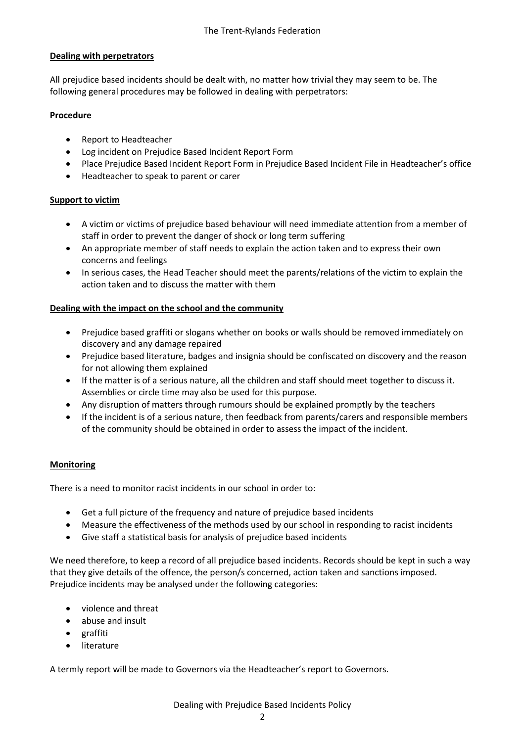# **Dealing with perpetrators**

All prejudice based incidents should be dealt with, no matter how trivial they may seem to be. The following general procedures may be followed in dealing with perpetrators:

## **Procedure**

- Report to Headteacher
- Log incident on Prejudice Based Incident Report Form
- Place Prejudice Based Incident Report Form in Prejudice Based Incident File in Headteacher's office
- Headteacher to speak to parent or carer

### **Support to victim**

- A victim or victims of prejudice based behaviour will need immediate attention from a member of staff in order to prevent the danger of shock or long term suffering
- An appropriate member of staff needs to explain the action taken and to express their own concerns and feelings
- In serious cases, the Head Teacher should meet the parents/relations of the victim to explain the action taken and to discuss the matter with them

# **Dealing with the impact on the school and the community**

- Prejudice based graffiti or slogans whether on books or walls should be removed immediately on discovery and any damage repaired
- Prejudice based literature, badges and insignia should be confiscated on discovery and the reason for not allowing them explained
- If the matter is of a serious nature, all the children and staff should meet together to discuss it. Assemblies or circle time may also be used for this purpose.
- Any disruption of matters through rumours should be explained promptly by the teachers
- If the incident is of a serious nature, then feedback from parents/carers and responsible members of the community should be obtained in order to assess the impact of the incident.

#### **Monitoring**

There is a need to monitor racist incidents in our school in order to:

- Get a full picture of the frequency and nature of prejudice based incidents
- Measure the effectiveness of the methods used by our school in responding to racist incidents
- Give staff a statistical basis for analysis of prejudice based incidents

We need therefore, to keep a record of all prejudice based incidents. Records should be kept in such a way that they give details of the offence, the person/s concerned, action taken and sanctions imposed. Prejudice incidents may be analysed under the following categories:

- violence and threat
- abuse and insult
- graffiti
- literature

A termly report will be made to Governors via the Headteacher's report to Governors.